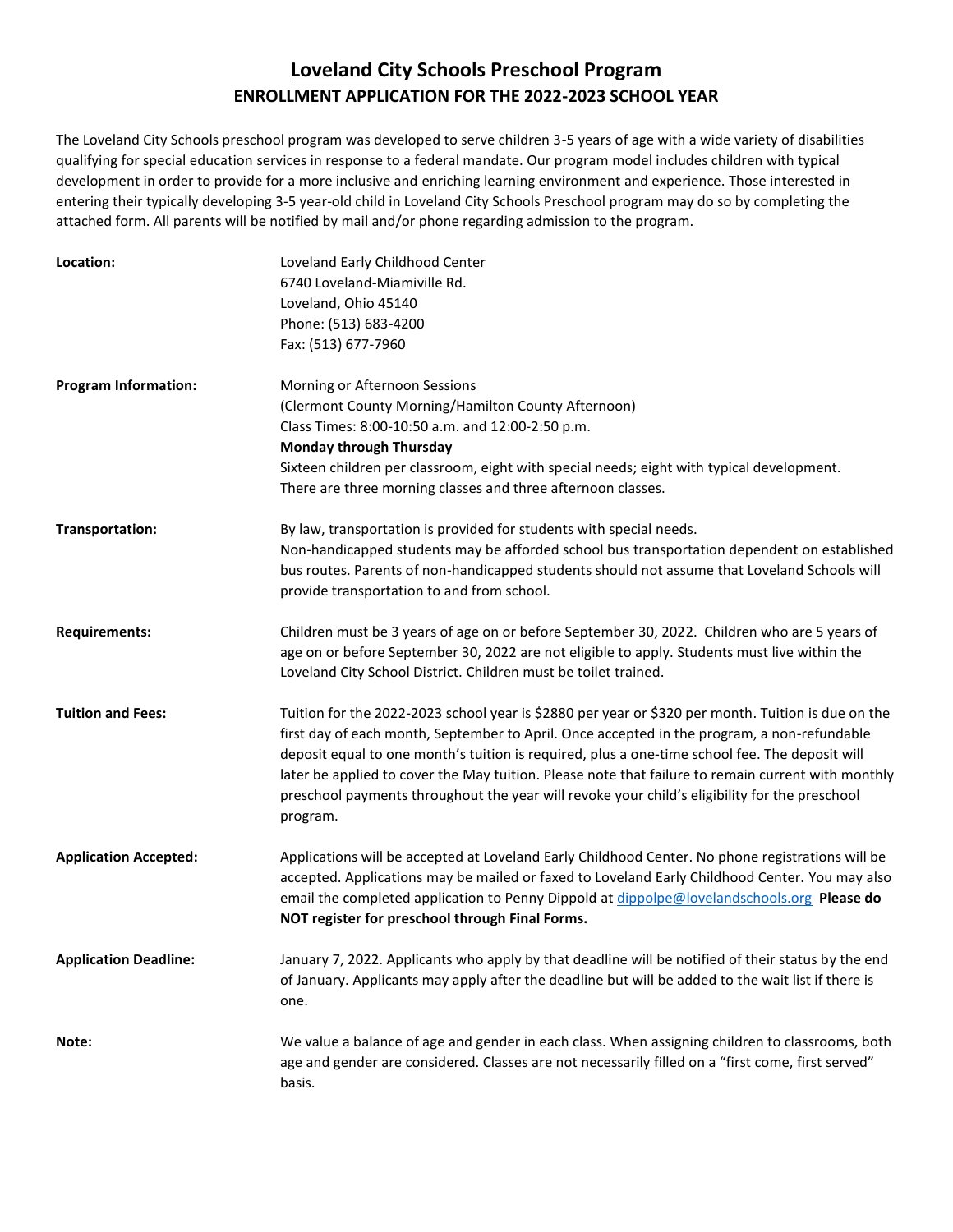## **Loveland City Schools Preschool Program ENROLLMENT APPLICATION FOR THE 2022-2023 SCHOOL YEAR**

The Loveland City Schools preschool program was developed to serve children 3-5 years of age with a wide variety of disabilities qualifying for special education services in response to a federal mandate. Our program model includes children with typical development in order to provide for a more inclusive and enriching learning environment and experience. Those interested in entering their typically developing 3-5 year-old child in Loveland City Schools Preschool program may do so by completing the attached form. All parents will be notified by mail and/or phone regarding admission to the program.

| Location:                    | Loveland Early Childhood Center<br>6740 Loveland-Miamiville Rd.<br>Loveland, Ohio 45140<br>Phone: (513) 683-4200<br>Fax: (513) 677-7960                                                                                                                                                                                                                                                                                                                                                                                |
|------------------------------|------------------------------------------------------------------------------------------------------------------------------------------------------------------------------------------------------------------------------------------------------------------------------------------------------------------------------------------------------------------------------------------------------------------------------------------------------------------------------------------------------------------------|
| <b>Program Information:</b>  | Morning or Afternoon Sessions<br>(Clermont County Morning/Hamilton County Afternoon)<br>Class Times: 8:00-10:50 a.m. and 12:00-2:50 p.m.<br><b>Monday through Thursday</b><br>Sixteen children per classroom, eight with special needs; eight with typical development.<br>There are three morning classes and three afternoon classes.                                                                                                                                                                                |
| Transportation:              | By law, transportation is provided for students with special needs.<br>Non-handicapped students may be afforded school bus transportation dependent on established<br>bus routes. Parents of non-handicapped students should not assume that Loveland Schools will<br>provide transportation to and from school.                                                                                                                                                                                                       |
| <b>Requirements:</b>         | Children must be 3 years of age on or before September 30, 2022. Children who are 5 years of<br>age on or before September 30, 2022 are not eligible to apply. Students must live within the<br>Loveland City School District. Children must be toilet trained.                                                                                                                                                                                                                                                        |
| <b>Tuition and Fees:</b>     | Tuition for the 2022-2023 school year is \$2880 per year or \$320 per month. Tuition is due on the<br>first day of each month, September to April. Once accepted in the program, a non-refundable<br>deposit equal to one month's tuition is required, plus a one-time school fee. The deposit will<br>later be applied to cover the May tuition. Please note that failure to remain current with monthly<br>preschool payments throughout the year will revoke your child's eligibility for the preschool<br>program. |
| <b>Application Accepted:</b> | Applications will be accepted at Loveland Early Childhood Center. No phone registrations will be<br>accepted. Applications may be mailed or faxed to Loveland Early Childhood Center. You may also<br>email the completed application to Penny Dippold at dippolpe@lovelandschools.org Please do<br>NOT register for preschool through Final Forms.                                                                                                                                                                    |
| <b>Application Deadline:</b> | January 7, 2022. Applicants who apply by that deadline will be notified of their status by the end<br>of January. Applicants may apply after the deadline but will be added to the wait list if there is<br>one.                                                                                                                                                                                                                                                                                                       |
| Note:                        | We value a balance of age and gender in each class. When assigning children to classrooms, both<br>age and gender are considered. Classes are not necessarily filled on a "first come, first served"<br>basis.                                                                                                                                                                                                                                                                                                         |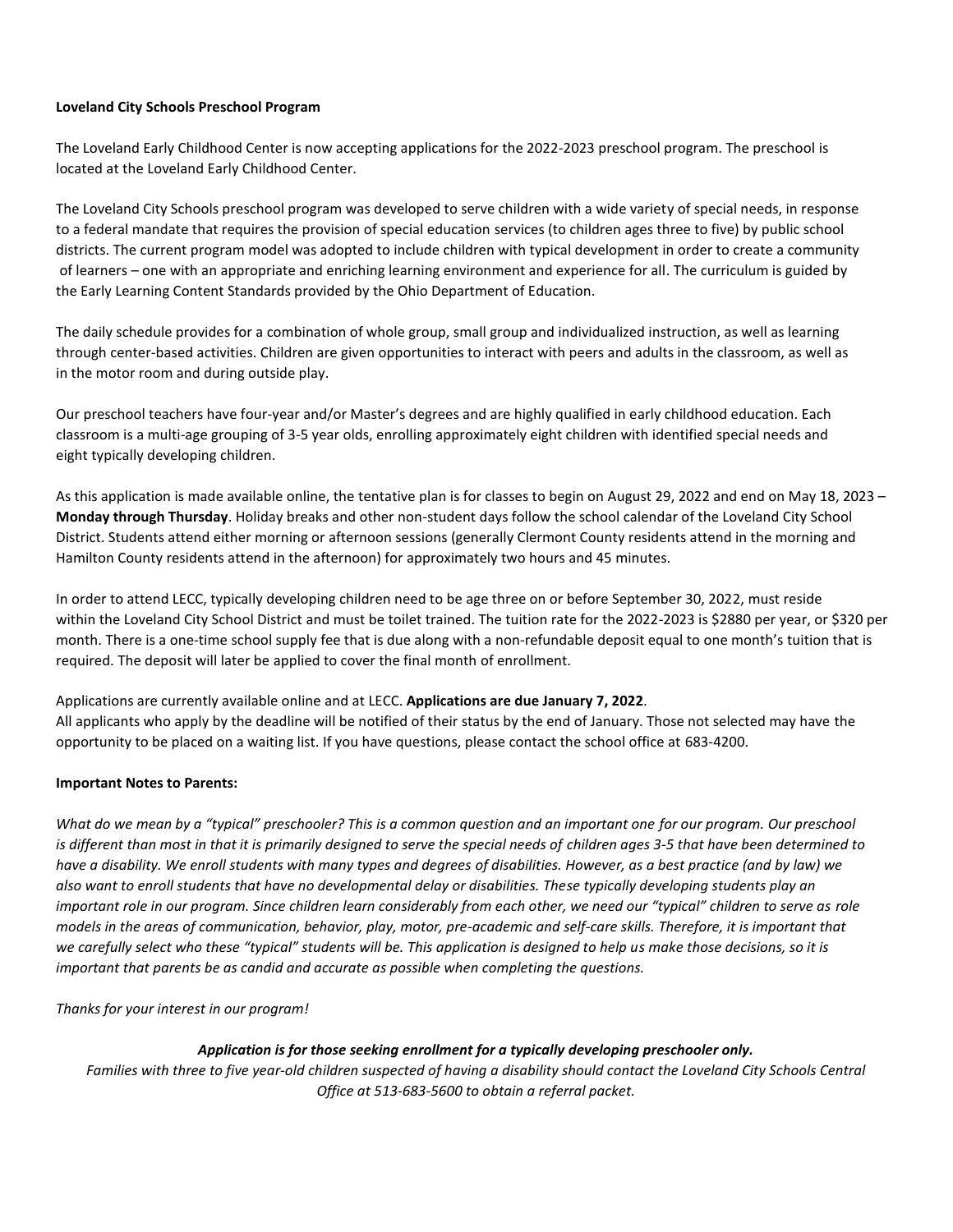### **Loveland City Schools Preschool Program**

The Loveland Early Childhood Center is now accepting applications for the 2022-2023 preschool program. The preschool is located at the Loveland Early Childhood Center.

The Loveland City Schools preschool program was developed to serve children with a wide variety of special needs, in response to a federal mandate that requires the provision of special education services (to children ages three to five) by public school districts. The current program model was adopted to include children with typical development in order to create a community of learners – one with an appropriate and enriching learning environment and experience for all. The curriculum is guided by the Early Learning Content Standards provided by the Ohio Department of Education.

The daily schedule provides for a combination of whole group, small group and individualized instruction, as well as learning through center-based activities. Children are given opportunities to interact with peers and adults in the classroom, as well as in the motor room and during outside play.

Our preschool teachers have four-year and/or Master's degrees and are highly qualified in early childhood education. Each classroom is a multi-age grouping of 3-5 year olds, enrolling approximately eight children with identified special needs and eight typically developing children.

As this application is made available online, the tentative plan is for classes to begin on August 29, 2022 and end on May 18, 2023 – **Monday through Thursday**. Holiday breaks and other non-student days follow the school calendar of the Loveland City School District. Students attend either morning or afternoon sessions (generally Clermont County residents attend in the morning and Hamilton County residents attend in the afternoon) for approximately two hours and 45 minutes.

In order to attend LECC, typically developing children need to be age three on or before September 30, 2022, must reside within the Loveland City School District and must be toilet trained. The tuition rate for the 2022-2023 is \$2880 per year, or \$320 per month. There is a one-time school supply fee that is due along with a non-refundable deposit equal to one month's tuition that is required. The deposit will later be applied to cover the final month of enrollment.

Applications are currently available online and at LECC. **Applications are due January 7, 2022**. All applicants who apply by the deadline will be notified of their status by the end of January. Those not selected may have the opportunity to be placed on a waiting list. If you have questions, please contact the school office at 683-4200.

#### **Important Notes to Parents:**

*What do we mean by a "typical" preschooler? This is a common question and an important one for our program. Our preschool is different than most in that it is primarily designed to serve the special needs of children ages 3-5 that have been determined to have a disability. We enroll students with many types and degrees of disabilities. However, as a best practice (and by law) we also want to enroll students that have no developmental delay or disabilities. These typically developing students play an important role in our program. Since children learn considerably from each other, we need our "typical" children to serve as role models in the areas of communication, behavior, play, motor, pre-academic and self-care skills. Therefore, it is important that we carefully select who these "typical" students will be. This application is designed to help us make those decisions, so it is important that parents be as candid and accurate as possible when completing the questions.* 

*Thanks for your interest in our program!*

#### *Application is for those seeking enrollment for a typically developing preschooler only.*

*Families with three to five year-old children suspected of having a disability should contact the Loveland City Schools Central Office at 513-683-5600 to obtain a referral packet.*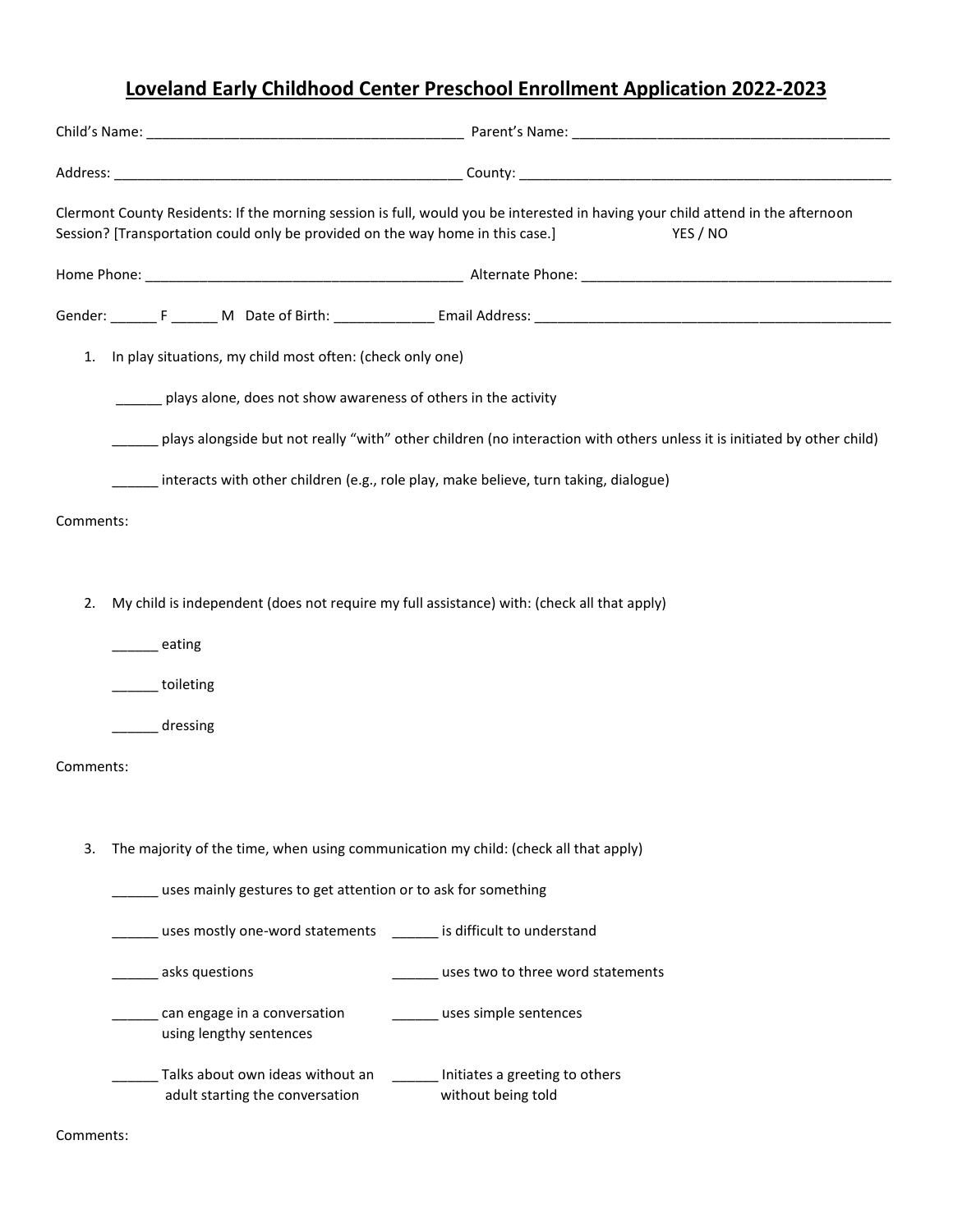# **Loveland Early Childhood Center Preschool Enrollment Application 2022-2023**

|           | Clermont County Residents: If the morning session is full, would you be interested in having your child attend in the afternoon<br>Session? [Transportation could only be provided on the way home in this case.]<br>YES / NO |  |  |  |  |
|-----------|-------------------------------------------------------------------------------------------------------------------------------------------------------------------------------------------------------------------------------|--|--|--|--|
|           |                                                                                                                                                                                                                               |  |  |  |  |
|           |                                                                                                                                                                                                                               |  |  |  |  |
| 1.        | In play situations, my child most often: (check only one)                                                                                                                                                                     |  |  |  |  |
|           | plays alone, does not show awareness of others in the activity                                                                                                                                                                |  |  |  |  |
|           | plays alongside but not really "with" other children (no interaction with others unless it is initiated by other child)                                                                                                       |  |  |  |  |
|           | interacts with other children (e.g., role play, make believe, turn taking, dialogue)                                                                                                                                          |  |  |  |  |
| Comments: |                                                                                                                                                                                                                               |  |  |  |  |
|           |                                                                                                                                                                                                                               |  |  |  |  |
| 2.        | My child is independent (does not require my full assistance) with: (check all that apply)                                                                                                                                    |  |  |  |  |
|           | eating                                                                                                                                                                                                                        |  |  |  |  |
|           | ____ toileting                                                                                                                                                                                                                |  |  |  |  |
|           | dressing                                                                                                                                                                                                                      |  |  |  |  |
| Comments: |                                                                                                                                                                                                                               |  |  |  |  |
|           |                                                                                                                                                                                                                               |  |  |  |  |
| 3.        | The majority of the time, when using communication my child: (check all that apply)                                                                                                                                           |  |  |  |  |
|           | uses mainly gestures to get attention or to ask for something                                                                                                                                                                 |  |  |  |  |
|           | uses mostly one-word statements _______ is difficult to understand                                                                                                                                                            |  |  |  |  |
|           | ______ asks questions<br>_uses two to three word statements                                                                                                                                                                   |  |  |  |  |
|           | can engage in a conversation<br>uses simple sentences<br>using lengthy sentences                                                                                                                                              |  |  |  |  |
|           | Talks about own ideas without an<br>Initiates a greeting to others<br>adult starting the conversation<br>without being told                                                                                                   |  |  |  |  |